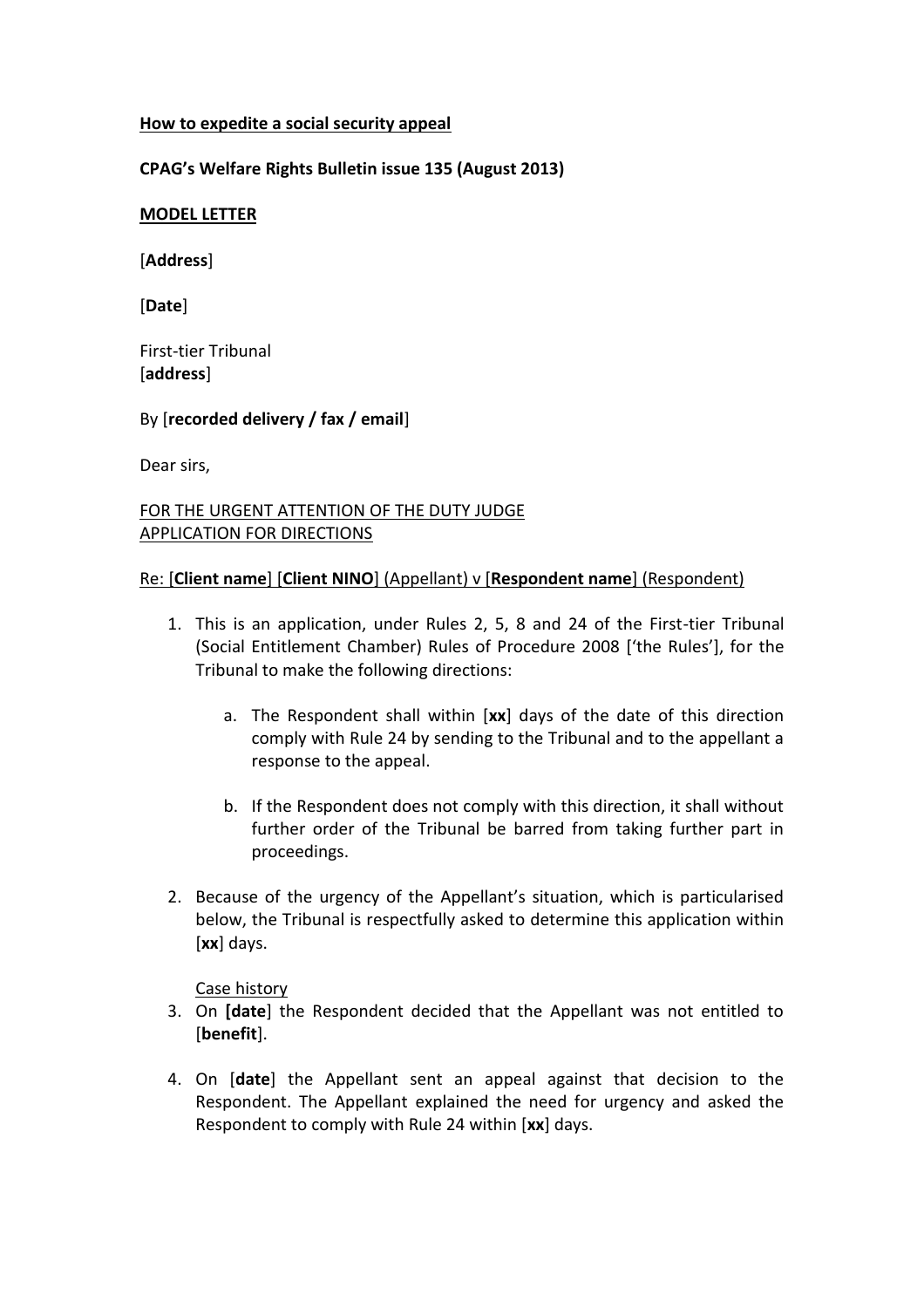### **How to expedite a social security appeal**

## **CPAG's Welfare Rights Bulletin issue 135 (August 2013)**

### **MODEL LETTER**

[**Address**]

[**Date**]

First-tier Tribunal [**address**]

By [**recorded delivery / fax / email**]

Dear sirs,

# FOR THE URGENT ATTENTION OF THE DUTY JUDGE APPLICATION FOR DIRECTIONS

## Re: [**Client name**] [**Client NINO**] (Appellant) v [**Respondent name**] (Respondent)

- 1. This is an application, under Rules 2, 5, 8 and 24 of the First-tier Tribunal (Social Entitlement Chamber) Rules of Procedure 2008 ['the Rules'], for the Tribunal to make the following directions:
	- a. The Respondent shall within [**xx**] days of the date of this direction comply with Rule 24 by sending to the Tribunal and to the appellant a response to the appeal.
	- b. If the Respondent does not comply with this direction, it shall without further order of the Tribunal be barred from taking further part in proceedings.
- 2. Because of the urgency of the Appellant's situation, which is particularised below, the Tribunal is respectfully asked to determine this application within [**xx**] days.

Case history

- 3. On **[date**] the Respondent decided that the Appellant was not entitled to [**benefit**].
- 4. On [**date**] the Appellant sent an appeal against that decision to the Respondent. The Appellant explained the need for urgency and asked the Respondent to comply with Rule 24 within [**xx**] days.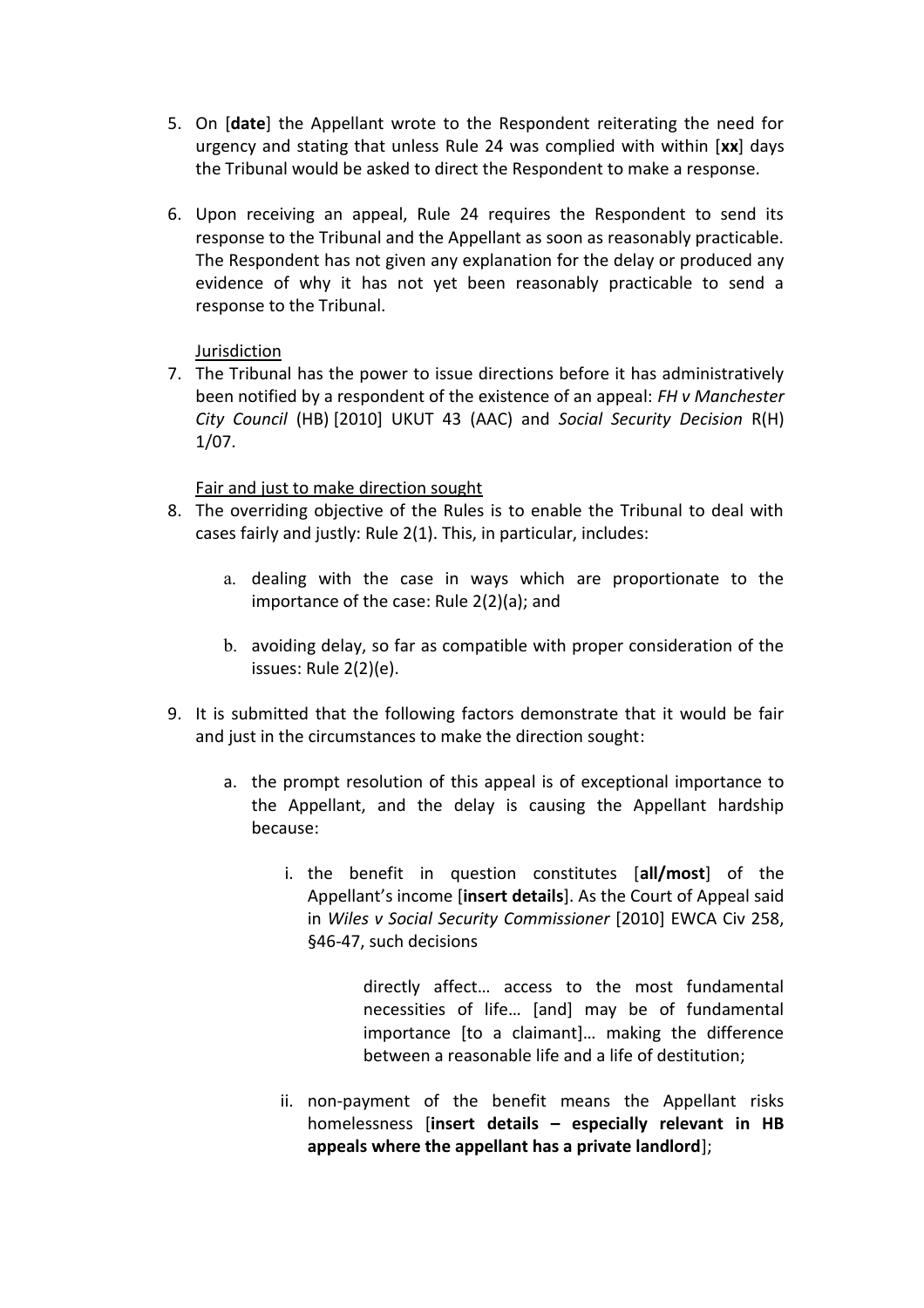- 5. On [**date**] the Appellant wrote to the Respondent reiterating the need for urgency and stating that unless Rule 24 was complied with within [**xx**] days the Tribunal would be asked to direct the Respondent to make a response.
- 6. Upon receiving an appeal, Rule 24 requires the Respondent to send its response to the Tribunal and the Appellant as soon as reasonably practicable. The Respondent has not given any explanation for the delay or produced any evidence of why it has not yet been reasonably practicable to send a response to the Tribunal.

## Jurisdiction

7. The Tribunal has the power to issue directions before it has administratively been notified by a respondent of the existence of an appeal: *FH v Manchester City Council* (HB) [2010] UKUT 43 (AAC) and *Social Security Decision* R(H) 1/07.

## Fair and just to make direction sought

- 8. The overriding objective of the Rules is to enable the Tribunal to deal with cases fairly and justly: Rule 2(1). This, in particular, includes:
	- a. dealing with the case in ways which are proportionate to the importance of the case: Rule 2(2)(a); and
	- b. avoiding delay, so far as compatible with proper consideration of the issues: Rule 2(2)(e).
- 9. It is submitted that the following factors demonstrate that it would be fair and just in the circumstances to make the direction sought:
	- a. the prompt resolution of this appeal is of exceptional importance to the Appellant, and the delay is causing the Appellant hardship because:
		- i. the benefit in question constitutes [**all/most**] of the Appellant's income [**insert details**]. As the Court of Appeal said in *Wiles v Social Security Commissioner* [2010] EWCA Civ 258, §46-47, such decisions

directly affect… access to the most fundamental necessities of life… [and] may be of fundamental importance [to a claimant]… making the difference between a reasonable life and a life of destitution;

ii. non-payment of the benefit means the Appellant risks homelessness [**insert details – especially relevant in HB appeals where the appellant has a private landlord**];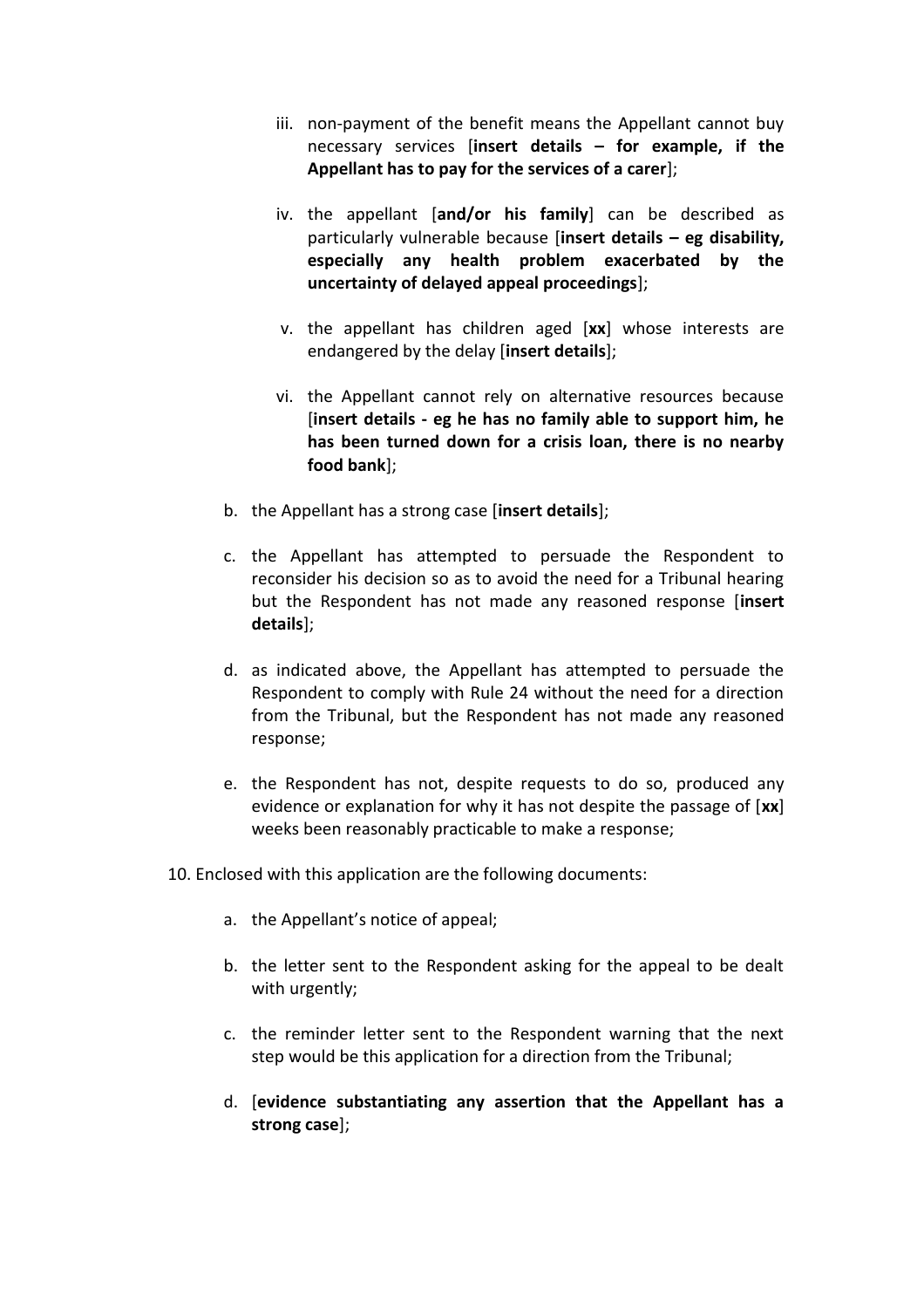- iii. non-payment of the benefit means the Appellant cannot buy necessary services [**insert details – for example, if the Appellant has to pay for the services of a carer**];
- iv. the appellant [**and/or his family**] can be described as particularly vulnerable because [**insert details – eg disability, especially any health problem exacerbated by the uncertainty of delayed appeal proceedings**];
- v. the appellant has children aged [**xx**] whose interests are endangered by the delay [**insert details**];
- vi. the Appellant cannot rely on alternative resources because [**insert details - eg he has no family able to support him, he has been turned down for a crisis loan, there is no nearby food bank**];
- b. the Appellant has a strong case [**insert details**];
- c. the Appellant has attempted to persuade the Respondent to reconsider his decision so as to avoid the need for a Tribunal hearing but the Respondent has not made any reasoned response [**insert details**];
- d. as indicated above, the Appellant has attempted to persuade the Respondent to comply with Rule 24 without the need for a direction from the Tribunal, but the Respondent has not made any reasoned response;
- e. the Respondent has not, despite requests to do so, produced any evidence or explanation for why it has not despite the passage of [**xx**] weeks been reasonably practicable to make a response;
- 10. Enclosed with this application are the following documents:
	- a. the Appellant's notice of appeal;
	- b. the letter sent to the Respondent asking for the appeal to be dealt with urgently;
	- c. the reminder letter sent to the Respondent warning that the next step would be this application for a direction from the Tribunal;
	- d. [**evidence substantiating any assertion that the Appellant has a strong case**];